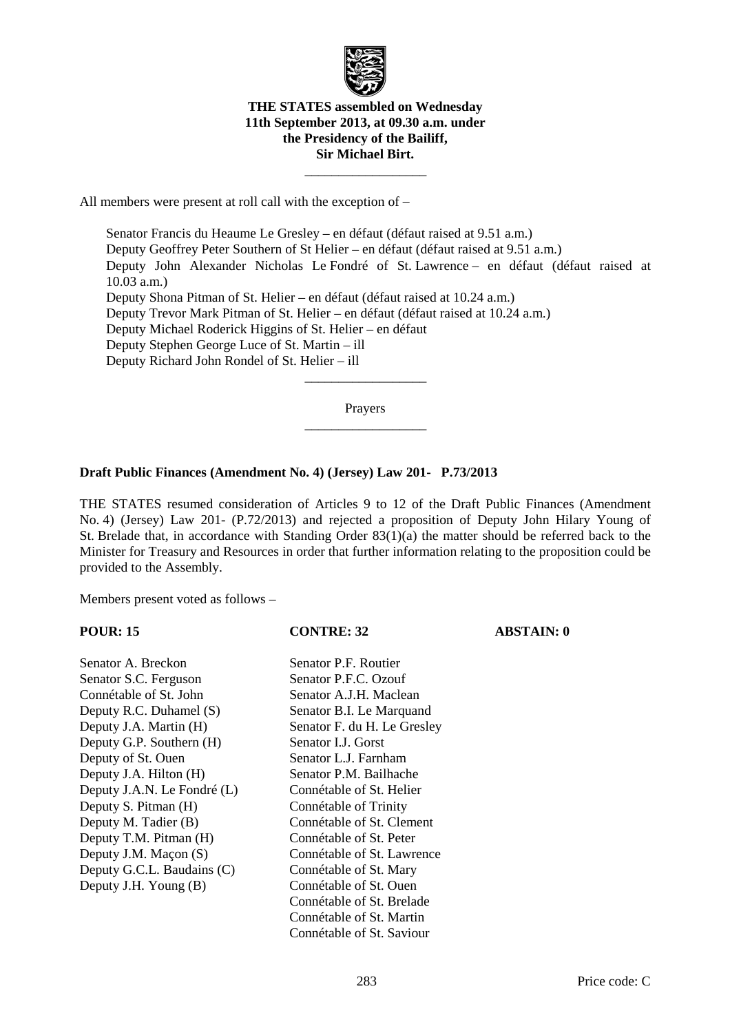

## **THE STATES assembled on Wednesday 11th September 2013, at 09.30 a.m. under the Presidency of the Bailiff, Sir Michael Birt.**

 $\frac{1}{\sqrt{2\pi}}\left[\frac{1}{\sqrt{2\pi}}\frac{1}{\sqrt{2\pi}}\frac{1}{\sqrt{2\pi}}\frac{1}{\sqrt{2\pi}}\frac{1}{\sqrt{2\pi}}\frac{1}{\sqrt{2\pi}}\frac{1}{\sqrt{2\pi}}\frac{1}{\sqrt{2\pi}}\frac{1}{\sqrt{2\pi}}\frac{1}{\sqrt{2\pi}}\frac{1}{\sqrt{2\pi}}\frac{1}{\sqrt{2\pi}}\frac{1}{\sqrt{2\pi}}\frac{1}{\sqrt{2\pi}}\frac{1}{\sqrt{2\pi}}\frac{1}{\sqrt{2\pi}}\frac{1}{\sqrt{2\pi}}\frac$ 

All members were present at roll call with the exception of –

 Senator Francis du Heaume Le Gresley – en défaut (défaut raised at 9.51 a.m.) Deputy Geoffrey Peter Southern of St Helier – en défaut (défaut raised at 9.51 a.m.) Deputy John Alexander Nicholas Le Fondré of St. Lawrence – en défaut (défaut raised at 10.03 a.m.) Deputy Shona Pitman of St. Helier – en défaut (défaut raised at 10.24 a.m.) Deputy Trevor Mark Pitman of St. Helier – en défaut (défaut raised at 10.24 a.m.) Deputy Michael Roderick Higgins of St. Helier – en défaut Deputy Stephen George Luce of St. Martin – ill Deputy Richard John Rondel of St. Helier – ill  $\frac{1}{\sqrt{2\pi}}\left[\frac{1}{\sqrt{2\pi}}\frac{1}{\sqrt{2\pi}}\frac{1}{\sqrt{2\pi}}\frac{1}{\sqrt{2\pi}}\frac{1}{\sqrt{2\pi}}\frac{1}{\sqrt{2\pi}}\frac{1}{\sqrt{2\pi}}\frac{1}{\sqrt{2\pi}}\frac{1}{\sqrt{2\pi}}\frac{1}{\sqrt{2\pi}}\frac{1}{\sqrt{2\pi}}\frac{1}{\sqrt{2\pi}}\frac{1}{\sqrt{2\pi}}\frac{1}{\sqrt{2\pi}}\frac{1}{\sqrt{2\pi}}\frac{1}{\sqrt{2\pi}}\frac{1}{\sqrt{2\pi}}\frac$ 

> Prayers  $\frac{1}{\sqrt{2\pi}}\left[\frac{1}{\sqrt{2\pi}}\frac{1}{\sqrt{2\pi}}\frac{1}{\sqrt{2\pi}}\frac{1}{\sqrt{2\pi}}\frac{1}{\sqrt{2\pi}}\frac{1}{\sqrt{2\pi}}\frac{1}{\sqrt{2\pi}}\frac{1}{\sqrt{2\pi}}\frac{1}{\sqrt{2\pi}}\frac{1}{\sqrt{2\pi}}\frac{1}{\sqrt{2\pi}}\frac{1}{\sqrt{2\pi}}\frac{1}{\sqrt{2\pi}}\frac{1}{\sqrt{2\pi}}\frac{1}{\sqrt{2\pi}}\frac{1}{\sqrt{2\pi}}\frac{1}{\sqrt{2\pi}}\frac$

## **Draft Public Finances (Amendment No. 4) (Jersey) Law 201- P.73/2013**

THE STATES resumed consideration of Articles 9 to 12 of the Draft Public Finances (Amendment No. 4) (Jersey) Law 201- (P.72/2013) and rejected a proposition of Deputy John Hilary Young of St. Brelade that, in accordance with Standing Order 83(1)(a) the matter should be referred back to the Minister for Treasury and Resources in order that further information relating to the proposition could be provided to the Assembly.

Members present voted as follows –

| <b>POUR: 15</b>             | <b>CONTRE: 32</b>           | <b>ABSTAIN: 0</b> |
|-----------------------------|-----------------------------|-------------------|
| Senator A. Breckon          | Senator P.F. Routier        |                   |
| Senator S.C. Ferguson       | Senator P.F.C. Ozouf        |                   |
| Connétable of St. John      | Senator A.J.H. Maclean      |                   |
| Deputy R.C. Duhamel (S)     | Senator B.I. Le Marquand    |                   |
| Deputy J.A. Martin (H)      | Senator F. du H. Le Gresley |                   |
| Deputy G.P. Southern (H)    | Senator I.J. Gorst          |                   |
| Deputy of St. Ouen          | Senator L.J. Farnham        |                   |
| Deputy J.A. Hilton (H)      | Senator P.M. Bailhache      |                   |
| Deputy J.A.N. Le Fondré (L) | Connétable of St. Helier    |                   |
| Deputy S. Pitman (H)        | Connétable of Trinity       |                   |
| Deputy M. Tadier (B)        | Connétable of St. Clement   |                   |
| Deputy T.M. Pitman (H)      | Connétable of St. Peter     |                   |
| Deputy J.M. Maçon (S)       | Connétable of St. Lawrence  |                   |
| Deputy G.C.L. Baudains (C)  | Connétable of St. Mary      |                   |
| Deputy J.H. Young (B)       | Connétable of St. Ouen      |                   |
|                             | Connétable of St. Brelade   |                   |
|                             | Connétable of St. Martin    |                   |
|                             | Connétable of St. Saviour   |                   |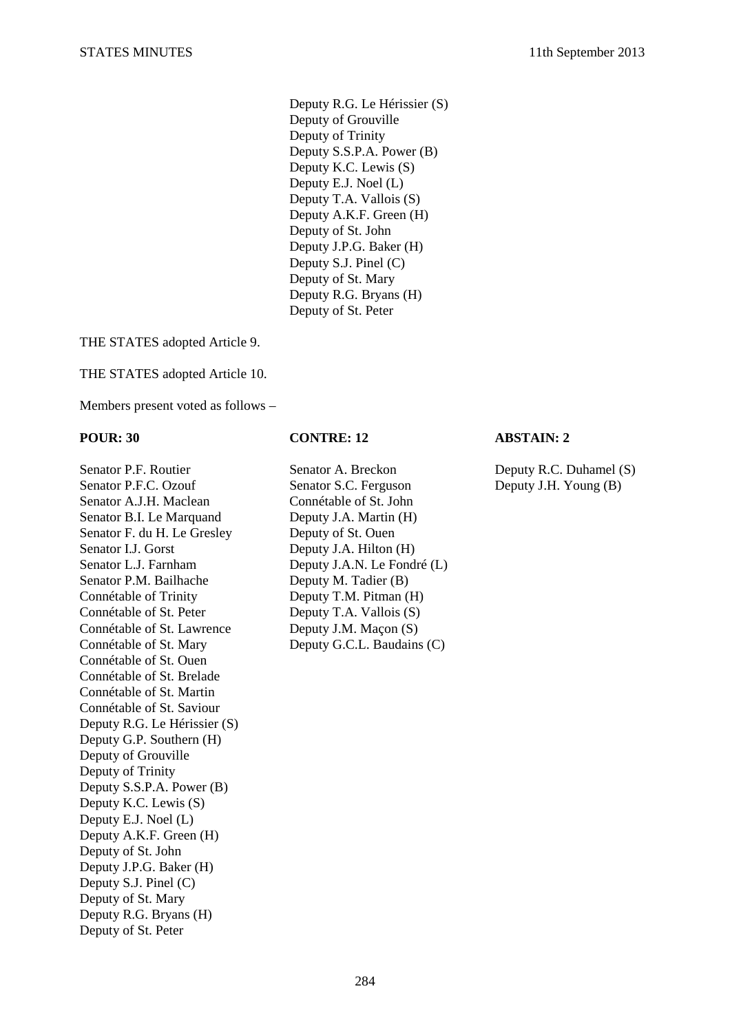Deputy R.G. Le Hérissier (S) Deputy of Grouville Deputy of Trinity Deputy S.S.P.A. Power (B) Deputy K.C. Lewis (S) Deputy E.J. Noel (L) Deputy T.A. Vallois (S) Deputy A.K.F. Green (H) Deputy of St. John Deputy J.P.G. Baker (H) Deputy S.J. Pinel (C) Deputy of St. Mary Deputy R.G. Bryans (H) Deputy of St. Peter

THE STATES adopted Article 9.

THE STATES adopted Article 10.

Members present voted as follows –

### **POUR: 30 CONTRE: 12 ABSTAIN: 2**

Senator P.F.C. Ozouf Senator S.C. Ferguson Deputy J.H. Young (B) Senator A.J.H. Maclean Connétable of St. John Senator B.I. Le Marquand Deputy J.A. Martin (H) Senator F. du H. Le Gresley Deputy of St. Ouen Senator I.J. Gorst Deputy J.A. Hilton (H) Senator L.J. Farnham Deputy J.A.N. Le Fondré (L) Senator P.M. Bailhache Deputy M. Tadier (B) Connétable of Trinity Deputy T.M. Pitman (H) Connétable of St. Peter Deputy T.A. Vallois (S) Connétable of St. Lawrence Deputy J.M. Maçon (S) Connétable of St. Mary Deputy G.C.L. Baudains (C) Connétable of St. Ouen Connétable of St. Brelade Connétable of St. Martin Connétable of St. Saviour Deputy R.G. Le Hérissier (S) Deputy G.P. Southern (H) Deputy of Grouville Deputy of Trinity Deputy S.S.P.A. Power (B) Deputy K.C. Lewis (S) Deputy E.J. Noel (L) Deputy A.K.F. Green (H) Deputy of St. John Deputy J.P.G. Baker (H) Deputy S.J. Pinel (C) Deputy of St. Mary Deputy R.G. Bryans (H) Deputy of St. Peter

Senator P.F. Routier Senator A. Breckon Deputy R.C. Duhamel (S)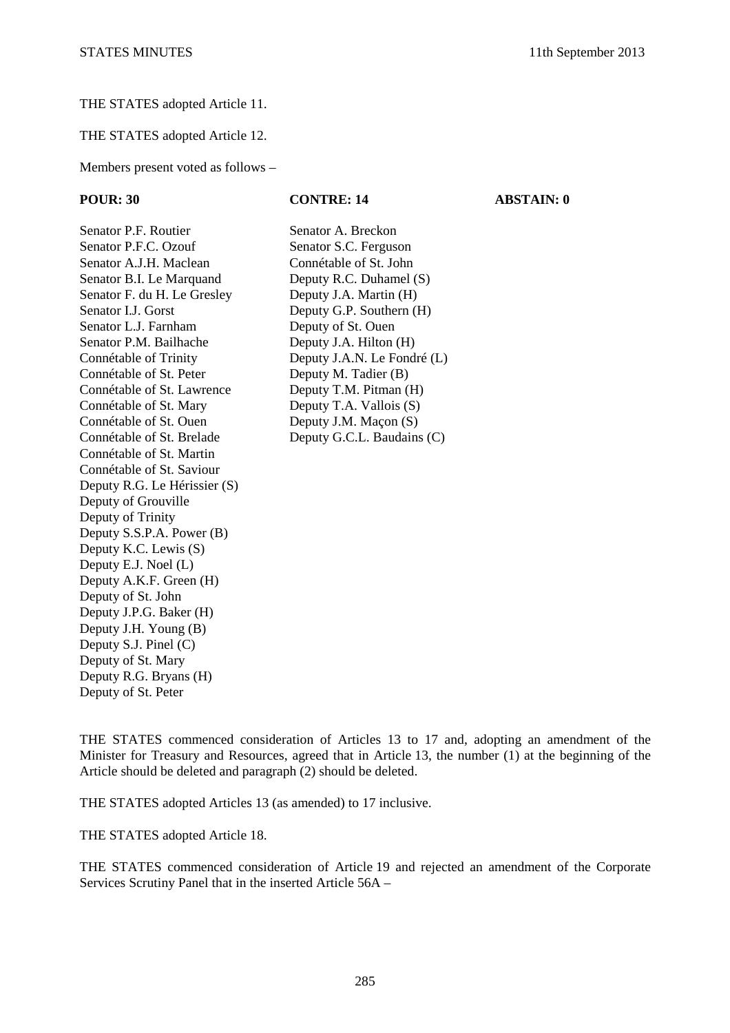### THE STATES adopted Article 11.

THE STATES adopted Article 12.

Members present voted as follows –

# **POUR: 30 CONTRE: 14 ABSTAIN: 0**

Senator P.F. Routier Senator A. Breckon Senator P.F.C. Ozouf Senator S.C. Ferguson Senator A.J.H. Maclean Connétable of St. John Senator B.I. Le Marquand Deputy R.C. Duhamel (S) Senator F. du H. Le Gresley Deputy J.A. Martin (H) Senator I.J. Gorst Deputy G.P. Southern (H) Senator L.J. Farnham Deputy of St. Ouen Senator P.M. Bailhache Deputy J.A. Hilton (H) Connétable of Trinity Deputy J.A.N. Le Fondré (L) Connétable of St. Peter Deputy M. Tadier (B) Connétable of St. Lawrence Deputy T.M. Pitman (H) Connétable of St. Mary Deputy T.A. Vallois (S) Connétable of St. Ouen Deputy J.M. Maçon (S) Connétable of St. Brelade Deputy G.C.L. Baudains (C) Connétable of St. Martin Connétable of St. Saviour Deputy R.G. Le Hérissier (S) Deputy of Grouville Deputy of Trinity Deputy S.S.P.A. Power (B) Deputy K.C. Lewis (S) Deputy E.J. Noel (L) Deputy A.K.F. Green (H) Deputy of St. John Deputy J.P.G. Baker (H) Deputy J.H. Young (B) Deputy S.J. Pinel (C) Deputy of St. Mary Deputy R.G. Bryans (H) Deputy of St. Peter

THE STATES commenced consideration of Articles 13 to 17 and, adopting an amendment of the Minister for Treasury and Resources, agreed that in Article 13, the number (1) at the beginning of the Article should be deleted and paragraph (2) should be deleted.

THE STATES adopted Articles 13 (as amended) to 17 inclusive.

THE STATES adopted Article 18.

THE STATES commenced consideration of Article 19 and rejected an amendment of the Corporate Services Scrutiny Panel that in the inserted Article 56A –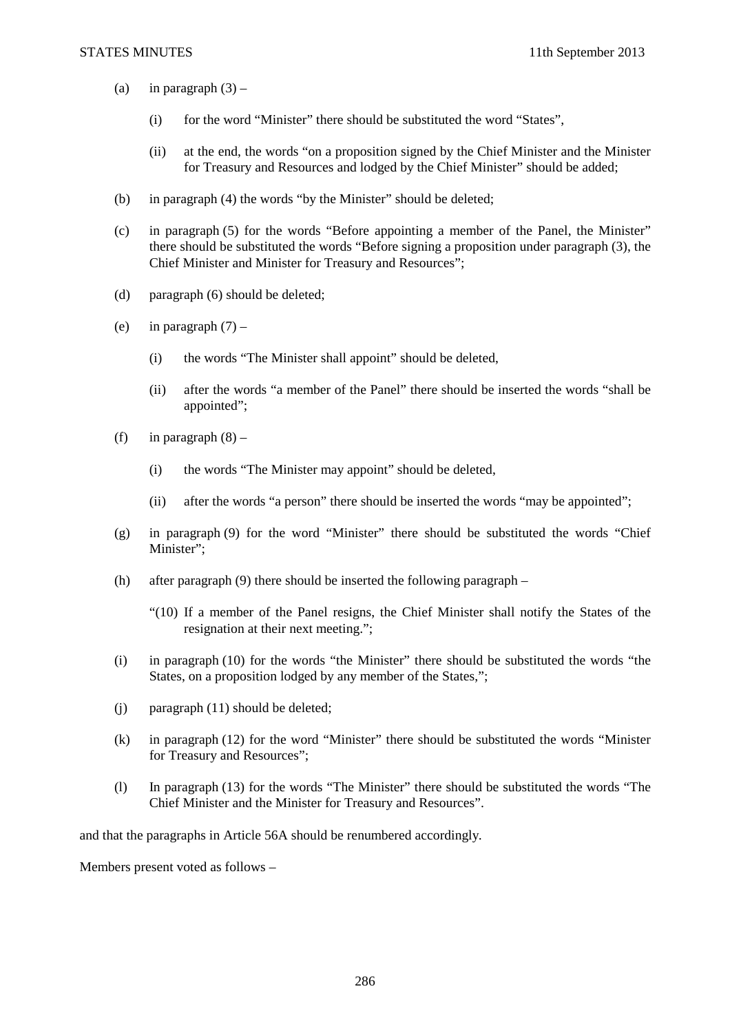- (a) in paragraph  $(3)$ 
	- (i) for the word "Minister" there should be substituted the word "States",
	- (ii) at the end, the words "on a proposition signed by the Chief Minister and the Minister for Treasury and Resources and lodged by the Chief Minister" should be added;
- (b) in paragraph (4) the words "by the Minister" should be deleted;
- (c) in paragraph (5) for the words "Before appointing a member of the Panel, the Minister" there should be substituted the words "Before signing a proposition under paragraph (3), the Chief Minister and Minister for Treasury and Resources";
- (d) paragraph (6) should be deleted;
- (e) in paragraph  $(7)$ 
	- (i) the words "The Minister shall appoint" should be deleted,
	- (ii) after the words "a member of the Panel" there should be inserted the words "shall be appointed";
- (f) in paragraph  $(8)$ 
	- (i) the words "The Minister may appoint" should be deleted,
	- (ii) after the words "a person" there should be inserted the words "may be appointed";
- (g) in paragraph (9) for the word "Minister" there should be substituted the words "Chief Minister";
- (h) after paragraph (9) there should be inserted the following paragraph
	- "(10) If a member of the Panel resigns, the Chief Minister shall notify the States of the resignation at their next meeting.";
- (i) in paragraph (10) for the words "the Minister" there should be substituted the words "the States, on a proposition lodged by any member of the States,";
- (j) paragraph (11) should be deleted;
- (k) in paragraph (12) for the word "Minister" there should be substituted the words "Minister for Treasury and Resources";
- (l) In paragraph (13) for the words "The Minister" there should be substituted the words "The Chief Minister and the Minister for Treasury and Resources".

and that the paragraphs in Article 56A should be renumbered accordingly*.* 

Members present voted as follows –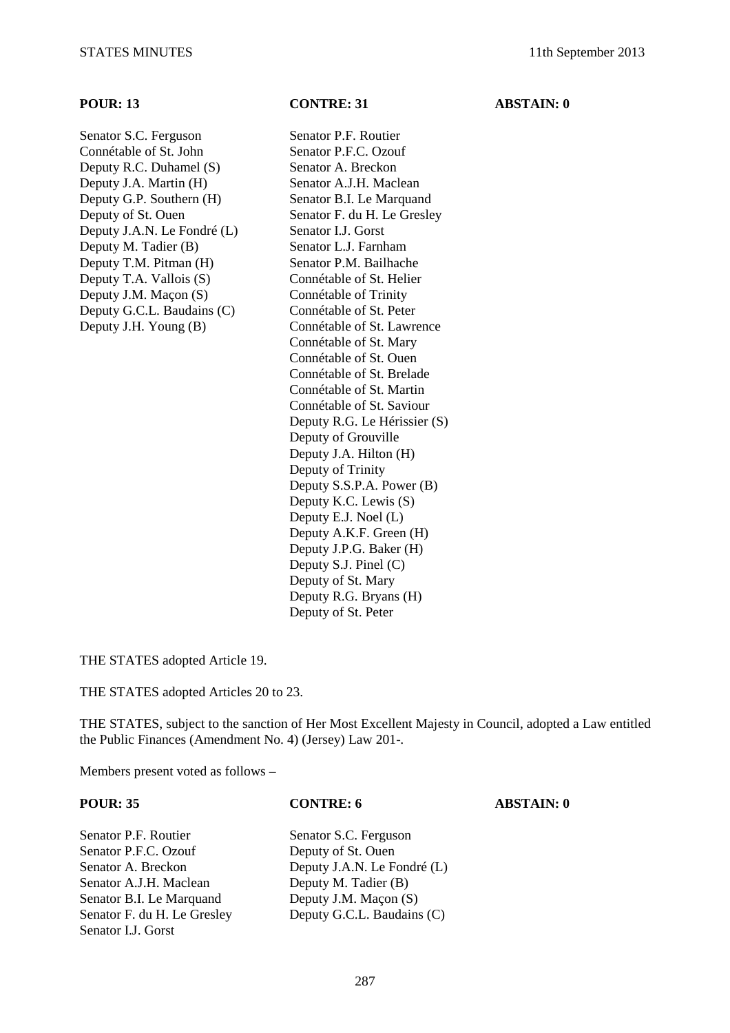Senator S.C. Ferguson Senator P.F. Routier Connétable of St. John Senator P.F.C. Ozouf Deputy R.C. Duhamel (S) Senator A. Breckon Deputy J.A. Martin (H) Senator A.J.H. Maclean Deputy G.P. Southern (H) Senator B.I. Le Marquand Deputy of St. Ouen Senator F. du H. Le Gresley Deputy J.A.N. Le Fondré (L) Senator I.J. Gorst Deputy M. Tadier (B) Senator L.J. Farnham Deputy T.M. Pitman (H) Senator P.M. Bailhache Deputy T.A. Vallois (S) Connétable of St. Helier Deputy J.M. Macon (S) Connétable of Trinity Deputy G.C.L. Baudains (C) Connétable of St. Peter

**POUR: 13 CONTRE: 31 ABSTAIN: 0** 

Deputy J.H. Young (B) Connétable of St. Lawrence Connétable of St. Mary Connétable of St. Ouen Connétable of St. Brelade Connétable of St. Martin Connétable of St. Saviour Deputy R.G. Le Hérissier (S) Deputy of Grouville Deputy J.A. Hilton (H) Deputy of Trinity Deputy S.S.P.A. Power (B) Deputy K.C. Lewis (S) Deputy E.J. Noel (L) Deputy A.K.F. Green (H) Deputy J.P.G. Baker (H) Deputy S.J. Pinel (C) Deputy of St. Mary Deputy R.G. Bryans (H) Deputy of St. Peter

THE STATES adopted Article 19.

THE STATES adopted Articles 20 to 23.

THE STATES, subject to the sanction of Her Most Excellent Majesty in Council, adopted a Law entitled the Public Finances (Amendment No. 4) (Jersey) Law 201-.

Members present voted as follows –

| <b>POUR: 35</b>             | <b>CONTRE: 6</b>            | <b>ABSTAIN: 0</b> |
|-----------------------------|-----------------------------|-------------------|
| Senator P.F. Routier        | Senator S.C. Ferguson       |                   |
| Senator P.F.C. Ozouf        | Deputy of St. Ouen          |                   |
| Senator A. Breckon          | Deputy J.A.N. Le Fondré (L) |                   |
| Senator A.J.H. Maclean      | Deputy M. Tadier (B)        |                   |
| Senator B.I. Le Marquand    | Deputy J.M. Maçon (S)       |                   |
| Senator F. du H. Le Gresley | Deputy G.C.L. Baudains (C)  |                   |
| Senator L.J. Gorst          |                             |                   |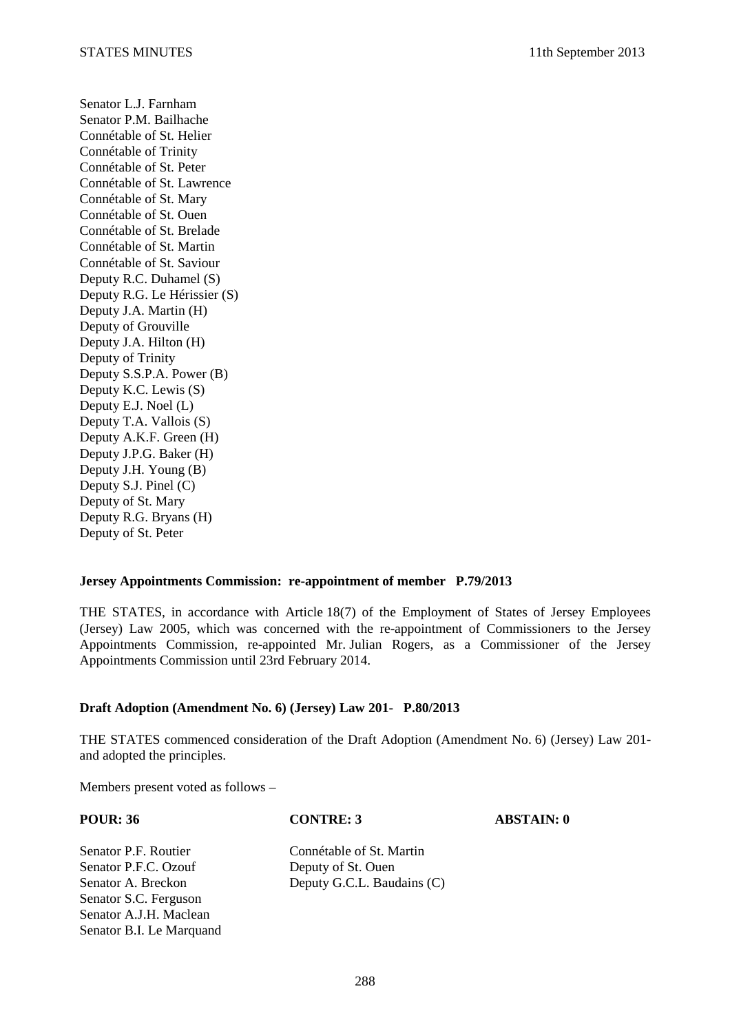Senator L.J. Farnham Senator P.M. Bailhache Connétable of St. Helier Connétable of Trinity Connétable of St. Peter Connétable of St. Lawrence Connétable of St. Mary Connétable of St. Ouen Connétable of St. Brelade Connétable of St. Martin Connétable of St. Saviour Deputy R.C. Duhamel (S) Deputy R.G. Le Hérissier (S) Deputy J.A. Martin (H) Deputy of Grouville Deputy J.A. Hilton (H) Deputy of Trinity Deputy S.S.P.A. Power (B) Deputy K.C. Lewis (S) Deputy E.J. Noel (L) Deputy T.A. Vallois (S) Deputy A.K.F. Green (H) Deputy J.P.G. Baker (H) Deputy J.H. Young (B) Deputy S.J. Pinel (C) Deputy of St. Mary Deputy R.G. Bryans (H) Deputy of St. Peter

### **Jersey Appointments Commission: re-appointment of member P.79/2013**

THE STATES, in accordance with Article 18(7) of the Employment of States of Jersey Employees (Jersey) Law 2005, which was concerned with the re-appointment of Commissioners to the Jersey Appointments Commission, re-appointed Mr. Julian Rogers, as a Commissioner of the Jersey Appointments Commission until 23rd February 2014.

### **Draft Adoption (Amendment No. 6) (Jersey) Law 201- P.80/2013**

THE STATES commenced consideration of the Draft Adoption (Amendment No. 6) (Jersey) Law 201 and adopted the principles.

Members present voted as follows –

### **POUR: 36 CONTRE: 3 ABSTAIN: 0**

Senator P.F. Routier Connétable of St. Martin<br>
Senator P.F.C. Ozouf Deputy of St. Ouen Senator S.C. Ferguson Senator A.J.H. Maclean Senator B.I. Le Marquand

Deputy of St. Ouen Senator A. Breckon Deputy G.C.L. Baudains (C)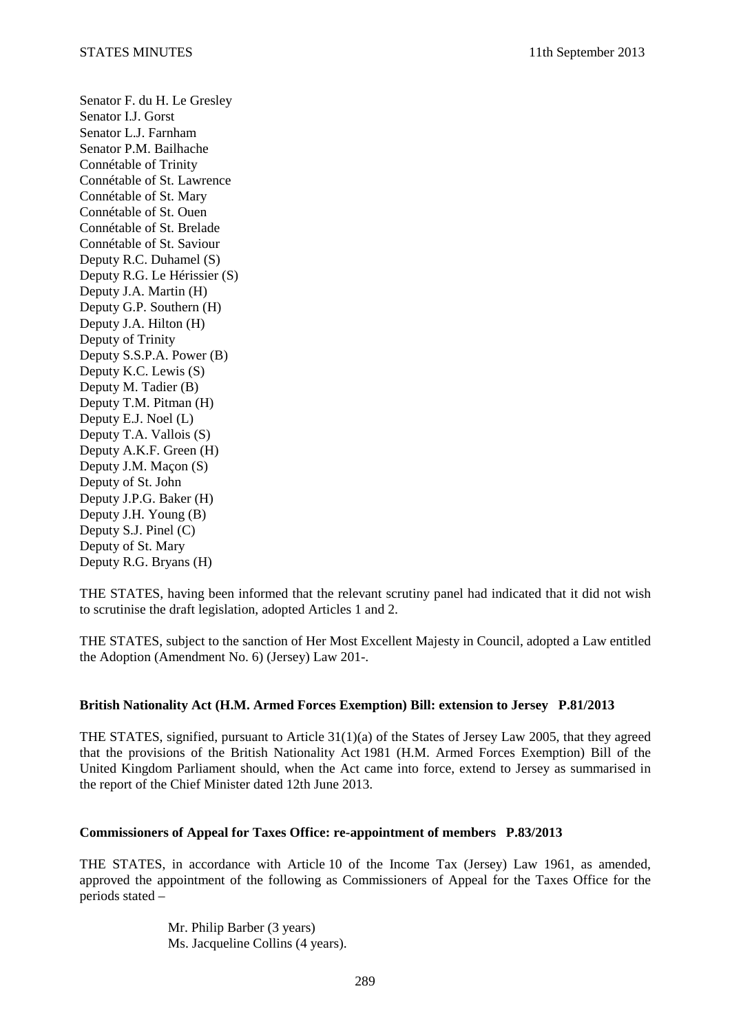Senator F. du H. Le Gresley Senator I.J. Gorst Senator L.J. Farnham Senator P.M. Bailhache Connétable of Trinity Connétable of St. Lawrence Connétable of St. Mary Connétable of St. Ouen Connétable of St. Brelade Connétable of St. Saviour Deputy R.C. Duhamel (S) Deputy R.G. Le Hérissier (S) Deputy J.A. Martin (H) Deputy G.P. Southern (H) Deputy J.A. Hilton (H) Deputy of Trinity Deputy S.S.P.A. Power (B) Deputy K.C. Lewis (S) Deputy M. Tadier (B) Deputy T.M. Pitman (H) Deputy E.J. Noel (L) Deputy T.A. Vallois (S) Deputy A.K.F. Green (H) Deputy J.M. Maçon (S) Deputy of St. John Deputy J.P.G. Baker (H) Deputy J.H. Young (B) Deputy S.J. Pinel (C) Deputy of St. Mary Deputy R.G. Bryans (H)

THE STATES, having been informed that the relevant scrutiny panel had indicated that it did not wish to scrutinise the draft legislation, adopted Articles 1 and 2.

THE STATES, subject to the sanction of Her Most Excellent Majesty in Council, adopted a Law entitled the Adoption (Amendment No. 6) (Jersey) Law 201-.

### **British Nationality Act (H.M. Armed Forces Exemption) Bill: extension to Jersey P.81/2013**

THE STATES, signified, pursuant to Article 31(1)(a) of the States of Jersey Law 2005, that they agreed that the provisions of the British Nationality Act 1981 (H.M. Armed Forces Exemption) Bill of the United Kingdom Parliament should, when the Act came into force, extend to Jersey as summarised in the report of the Chief Minister dated 12th June 2013.

### **Commissioners of Appeal for Taxes Office: re-appointment of members P.83/2013**

THE STATES, in accordance with Article 10 of the Income Tax (Jersey) Law 1961, as amended, approved the appointment of the following as Commissioners of Appeal for the Taxes Office for the periods stated –

> Mr. Philip Barber (3 years) Ms. Jacqueline Collins (4 years).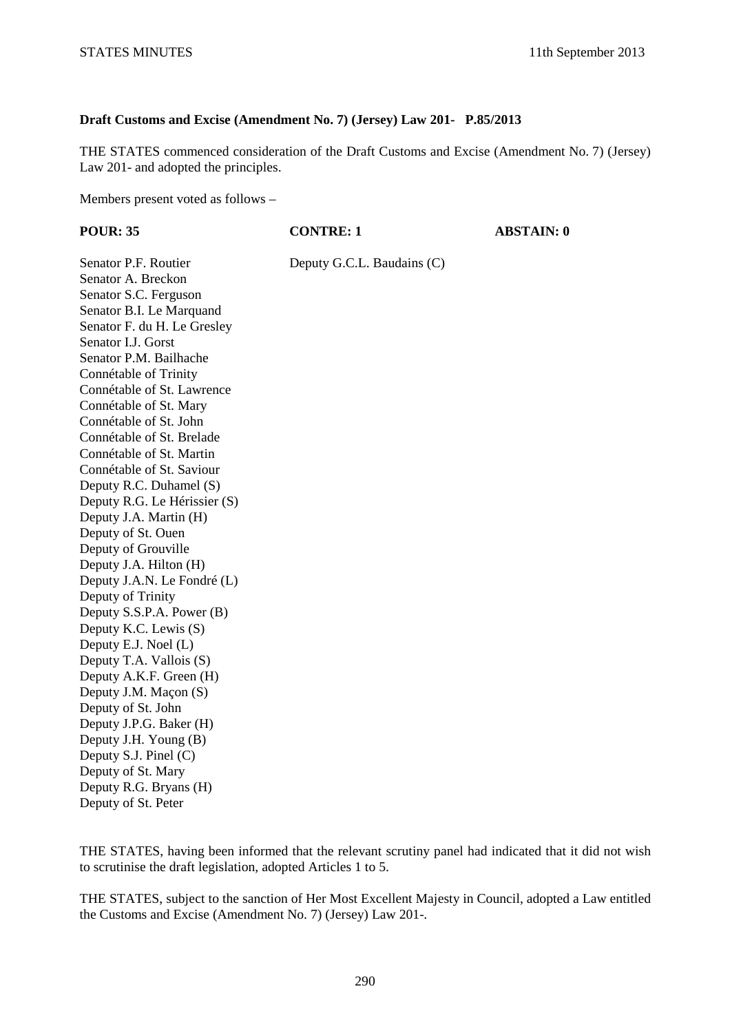# **Draft Customs and Excise (Amendment No. 7) (Jersey) Law 201- P.85/2013**

THE STATES commenced consideration of the Draft Customs and Excise (Amendment No. 7) (Jersey) Law 201- and adopted the principles.

Members present voted as follows –

| <b>POUR: 35</b>              | <b>CONTRE: 1</b>           | <b>ABSTAIN: 0</b> |
|------------------------------|----------------------------|-------------------|
| Senator P.F. Routier         | Deputy G.C.L. Baudains (C) |                   |
| Senator A. Breckon           |                            |                   |
| Senator S.C. Ferguson        |                            |                   |
| Senator B.I. Le Marquand     |                            |                   |
| Senator F. du H. Le Gresley  |                            |                   |
| Senator I.J. Gorst           |                            |                   |
| Senator P.M. Bailhache       |                            |                   |
| Connétable of Trinity        |                            |                   |
| Connétable of St. Lawrence   |                            |                   |
| Connétable of St. Mary       |                            |                   |
| Connétable of St. John       |                            |                   |
| Connétable of St. Brelade    |                            |                   |
| Connétable of St. Martin     |                            |                   |
| Connétable of St. Saviour    |                            |                   |
| Deputy R.C. Duhamel (S)      |                            |                   |
| Deputy R.G. Le Hérissier (S) |                            |                   |
| Deputy J.A. Martin (H)       |                            |                   |
| Deputy of St. Ouen           |                            |                   |
| Deputy of Grouville          |                            |                   |
| Deputy J.A. Hilton (H)       |                            |                   |
| Deputy J.A.N. Le Fondré (L)  |                            |                   |
| Deputy of Trinity            |                            |                   |
| Deputy S.S.P.A. Power (B)    |                            |                   |
| Deputy K.C. Lewis (S)        |                            |                   |
| Deputy E.J. Noel (L)         |                            |                   |
| Deputy T.A. Vallois (S)      |                            |                   |
| Deputy A.K.F. Green (H)      |                            |                   |
| Deputy J.M. Maçon (S)        |                            |                   |
| Deputy of St. John           |                            |                   |
| Deputy J.P.G. Baker (H)      |                            |                   |
| Deputy J.H. Young (B)        |                            |                   |
| Deputy S.J. Pinel (C)        |                            |                   |
| Deputy of St. Mary           |                            |                   |
| Deputy R.G. Bryans (H)       |                            |                   |
| Deputy of St. Peter          |                            |                   |
|                              |                            |                   |
|                              |                            |                   |

THE STATES, having been informed that the relevant scrutiny panel had indicated that it did not wish to scrutinise the draft legislation, adopted Articles 1 to 5.

THE STATES, subject to the sanction of Her Most Excellent Majesty in Council, adopted a Law entitled the Customs and Excise (Amendment No. 7) (Jersey) Law 201-.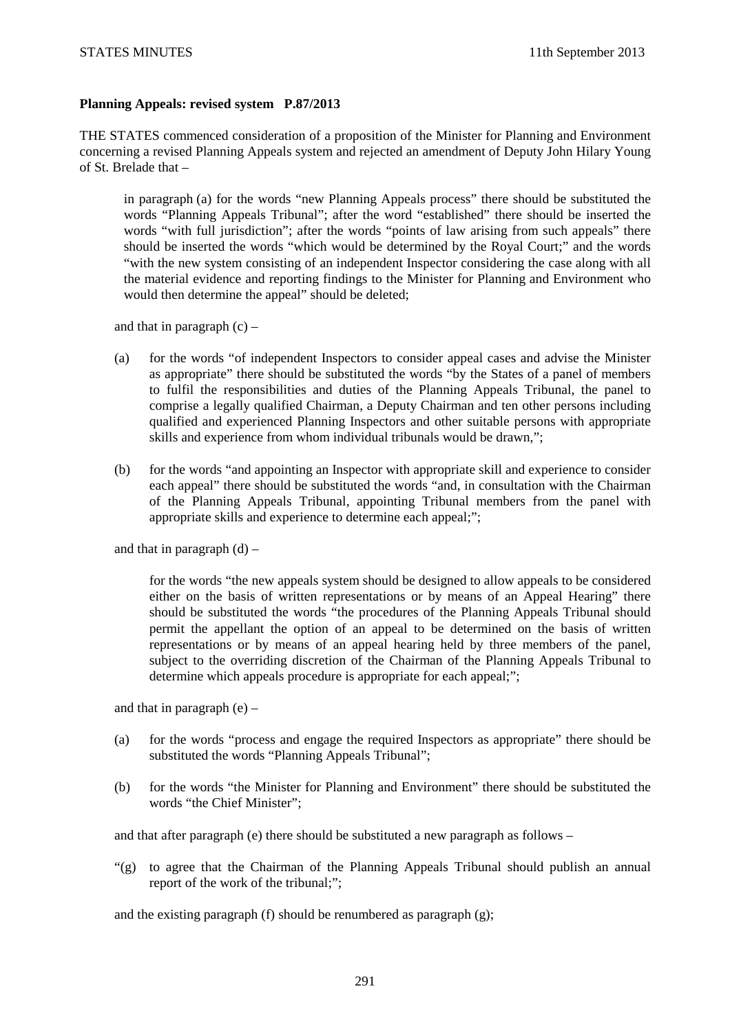## **Planning Appeals: revised system P.87/2013**

THE STATES commenced consideration of a proposition of the Minister for Planning and Environment concerning a revised Planning Appeals system and rejected an amendment of Deputy John Hilary Young of St. Brelade that –

in paragraph (a) for the words "new Planning Appeals process" there should be substituted the words "Planning Appeals Tribunal"; after the word "established" there should be inserted the words "with full jurisdiction"; after the words "points of law arising from such appeals" there should be inserted the words "which would be determined by the Royal Court;" and the words "with the new system consisting of an independent Inspector considering the case along with all the material evidence and reporting findings to the Minister for Planning and Environment who would then determine the appeal" should be deleted;

and that in paragraph  $(c)$  –

- (a) for the words "of independent Inspectors to consider appeal cases and advise the Minister as appropriate" there should be substituted the words "by the States of a panel of members to fulfil the responsibilities and duties of the Planning Appeals Tribunal, the panel to comprise a legally qualified Chairman, a Deputy Chairman and ten other persons including qualified and experienced Planning Inspectors and other suitable persons with appropriate skills and experience from whom individual tribunals would be drawn,";
- (b) for the words "and appointing an Inspector with appropriate skill and experience to consider each appeal" there should be substituted the words "and, in consultation with the Chairman of the Planning Appeals Tribunal, appointing Tribunal members from the panel with appropriate skills and experience to determine each appeal;";

and that in paragraph  $(d)$  –

for the words "the new appeals system should be designed to allow appeals to be considered either on the basis of written representations or by means of an Appeal Hearing" there should be substituted the words "the procedures of the Planning Appeals Tribunal should permit the appellant the option of an appeal to be determined on the basis of written representations or by means of an appeal hearing held by three members of the panel, subject to the overriding discretion of the Chairman of the Planning Appeals Tribunal to determine which appeals procedure is appropriate for each appeal;";

and that in paragraph  $(e)$  –

- (a) for the words "process and engage the required Inspectors as appropriate" there should be substituted the words "Planning Appeals Tribunal";
- (b) for the words "the Minister for Planning and Environment" there should be substituted the words "the Chief Minister";

and that after paragraph (e) there should be substituted a new paragraph as follows –

"(g) to agree that the Chairman of the Planning Appeals Tribunal should publish an annual report of the work of the tribunal;";

and the existing paragraph (f) should be renumbered as paragraph (g);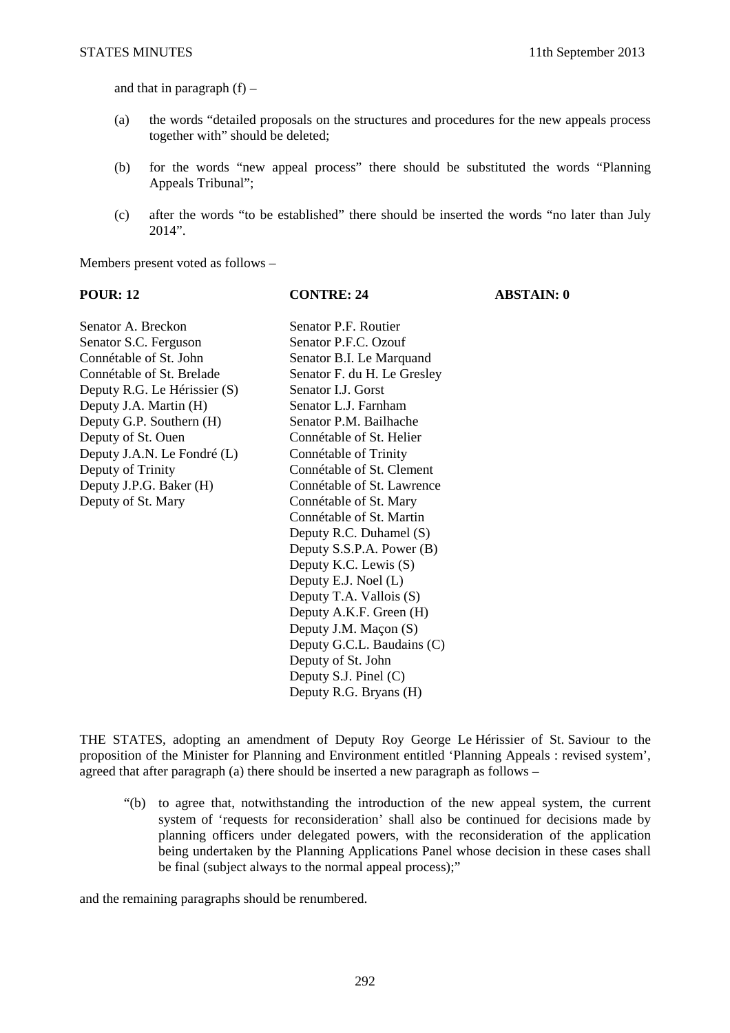and that in paragraph  $(f)$  –

- (a) the words "detailed proposals on the structures and procedures for the new appeals process together with" should be deleted;
- (b) for the words "new appeal process" there should be substituted the words "Planning Appeals Tribunal";
- (c) after the words "to be established" there should be inserted the words "no later than July 2014".

Members present voted as follows –

**POUR: 12 CONTRE: 24 ABSTAIN: 0** 

| Senator A. Breckon           | Senator P.F. Routier        |
|------------------------------|-----------------------------|
| Senator S.C. Ferguson        | Senator P.F.C. Ozouf        |
| Connétable of St. John       | Senator B.I. Le Marquand    |
| Connétable of St. Brelade    | Senator F. du H. Le Gresley |
| Deputy R.G. Le Hérissier (S) | Senator LJ. Gorst           |
| Deputy J.A. Martin (H)       | Senator L.J. Farnham        |
| Deputy G.P. Southern (H)     | Senator P.M. Bailhache      |
| Deputy of St. Ouen           | Connétable of St. Helier    |
| Deputy J.A.N. Le Fondré (L)  | Connétable of Trinity       |
| Deputy of Trinity            | Connétable of St. Clement   |
| Deputy J.P.G. Baker (H)      | Connétable of St. Lawrence  |
| Deputy of St. Mary           | Connétable of St. Mary      |
|                              | Connétable of St. Martin    |
|                              | Deputy R.C. Duhamel (S)     |
|                              | Deputy S.S.P.A. Power (B)   |
|                              | Deputy K.C. Lewis (S)       |
|                              | Deputy E.J. Noel (L)        |
|                              | Deputy T.A. Vallois (S)     |
|                              | Deputy A.K.F. Green (H)     |
|                              | Deputy J.M. Maçon (S)       |
|                              | Deputy G.C.L. Baudains (C)  |
|                              | Deputy of St. John          |
|                              | Deputy S.J. Pinel $(C)$     |
|                              | Deputy R.G. Bryans (H)      |

THE STATES, adopting an amendment of Deputy Roy George Le Hérissier of St. Saviour to the proposition of the Minister for Planning and Environment entitled 'Planning Appeals : revised system', agreed that after paragraph (a) there should be inserted a new paragraph as follows –

"(b) to agree that, notwithstanding the introduction of the new appeal system, the current system of 'requests for reconsideration' shall also be continued for decisions made by planning officers under delegated powers, with the reconsideration of the application being undertaken by the Planning Applications Panel whose decision in these cases shall be final (subject always to the normal appeal process);"

and the remaining paragraphs should be renumbered.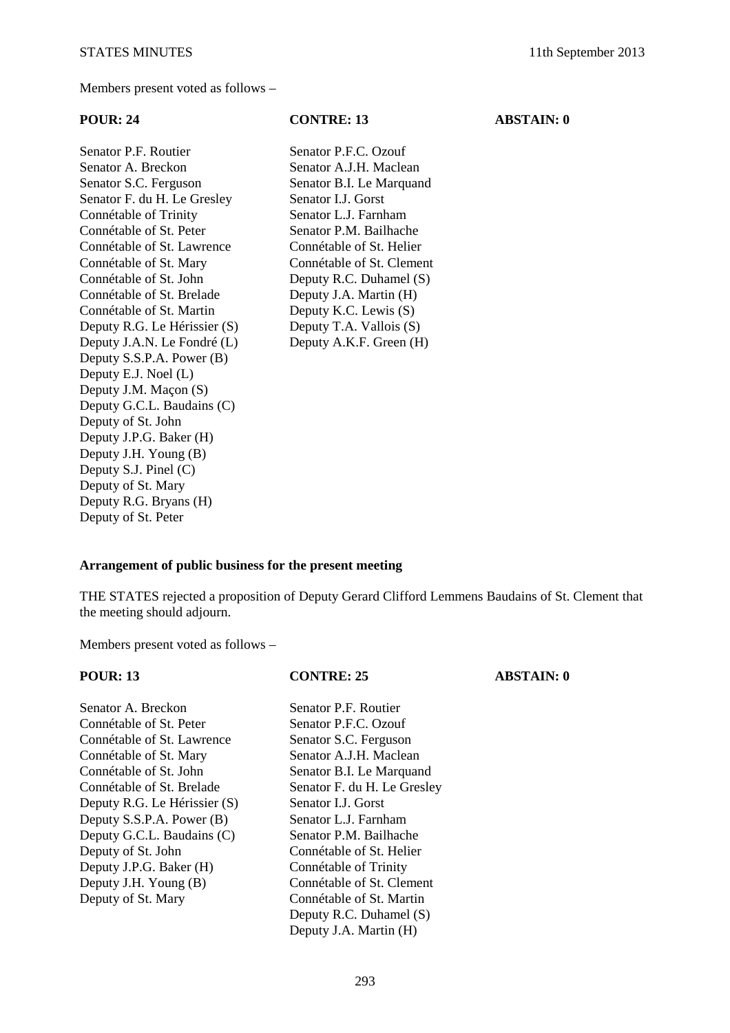Members present voted as follows –

Senator P.F. Routier Senator P.F.C. Ozouf Senator A. Breckon Senator A.J.H. Maclean Senator S.C. Ferguson Senator B.I. Le Marquand Senator F. du H. Le Gresley Senator I.J. Gorst Connétable of Trinity Senator L.J. Farnham Connétable of St. Peter Senator P.M. Bailhache Connétable of St. Lawrence Connétable of St. Helier Connétable of St. Mary Connétable of St. Clement Connétable of St. John Deputy R.C. Duhamel (S) Connétable of St. Brelade Deputy J.A. Martin (H) Connétable of St. Martin Deputy K.C. Lewis (S) Deputy R.G. Le Hérissier (S) Deputy T.A. Vallois (S) Deputy J.A.N. Le Fondré (L) Deputy A.K.F. Green (H) Deputy S.S.P.A. Power (B) Deputy E.J. Noel (L) Deputy J.M. Maçon (S) Deputy G.C.L. Baudains (C) Deputy of St. John Deputy J.P.G. Baker (H) Deputy J.H. Young (B) Deputy S.J. Pinel (C) Deputy of St. Mary Deputy R.G. Bryans (H) Deputy of St. Peter

## **POUR: 24 CONTRE: 13 ABSTAIN: 0**

### **Arrangement of public business for the present meeting**

THE STATES rejected a proposition of Deputy Gerard Clifford Lemmens Baudains of St. Clement that the meeting should adjourn.

Members present voted as follows –

### **POUR: 13 CONTRE: 25 ABSTAIN: 0**

Senator P.F. Routier Senator P.F.C. Ozouf Senator S.C. Ferguson Senator A.J.H. Maclean Senator B.I. Le Marquand Senator F. du H. Le Gresley

Senator L.J. Gorst Senator L.J. Farnham Senator P.M. Bailhache Connétable of St. Helier Connétable of Trinity Connétable of St. Clement Connétable of St. Martin Deputy R.C. Duhamel (S) Deputy J.A. Martin (H)

| Senator A. Breckon           |
|------------------------------|
| Connétable of St. Peter      |
| Connétable of St. Lawrence   |
| Connétable of St. Mary       |
| Connétable of St. John       |
| Connétable of St. Brelade    |
| Deputy R.G. Le Hérissier (S) |
| Deputy S.S.P.A. Power (B)    |
| Deputy G.C.L. Baudains (C)   |
| Deputy of St. John           |
| Deputy J.P.G. Baker (H)      |
| Deputy J.H. Young (B)        |
| Deputy of St. Mary           |
|                              |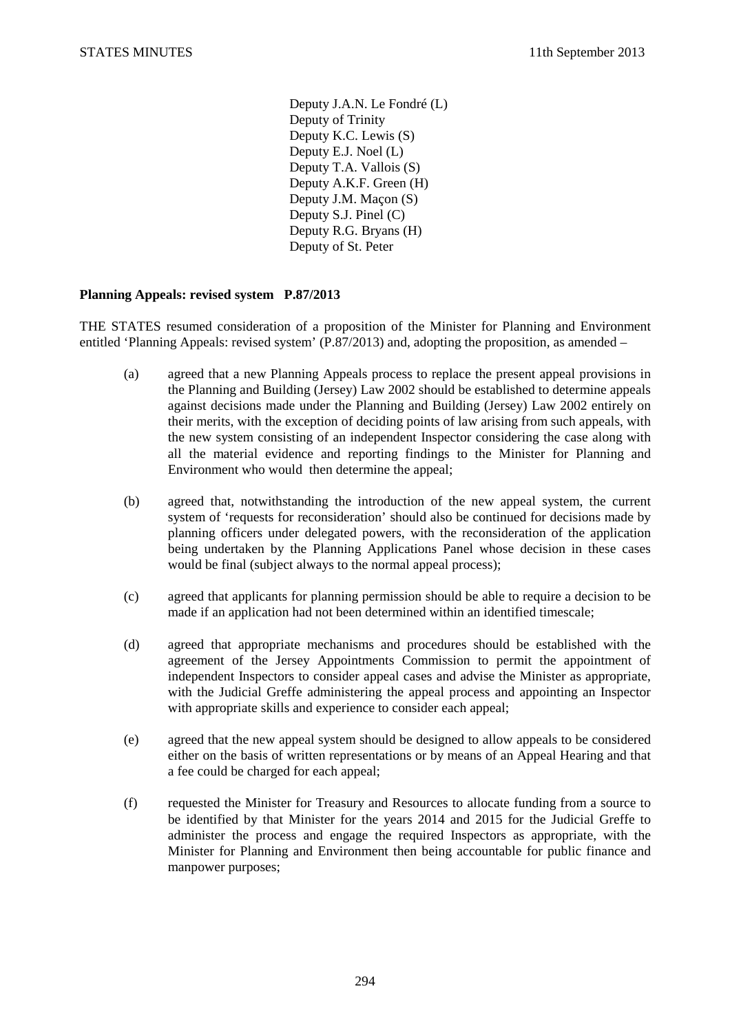Deputy J.A.N. Le Fondré (L) Deputy of Trinity Deputy K.C. Lewis (S) Deputy E.J. Noel (L) Deputy T.A. Vallois (S) Deputy A.K.F. Green (H) Deputy J.M. Maçon (S) Deputy S.J. Pinel (C) Deputy R.G. Bryans (H) Deputy of St. Peter

## **Planning Appeals: revised system P.87/2013**

THE STATES resumed consideration of a proposition of the Minister for Planning and Environment entitled 'Planning Appeals: revised system' (P.87/2013) and, adopting the proposition, as amended –

- (a) agreed that a new Planning Appeals process to replace the present appeal provisions in the Planning and Building (Jersey) Law 2002 should be established to determine appeals against decisions made under the Planning and Building (Jersey) Law 2002 entirely on their merits, with the exception of deciding points of law arising from such appeals, with the new system consisting of an independent Inspector considering the case along with all the material evidence and reporting findings to the Minister for Planning and Environment who would then determine the appeal;
- (b) agreed that, notwithstanding the introduction of the new appeal system, the current system of 'requests for reconsideration' should also be continued for decisions made by planning officers under delegated powers, with the reconsideration of the application being undertaken by the Planning Applications Panel whose decision in these cases would be final (subject always to the normal appeal process);
- (c) agreed that applicants for planning permission should be able to require a decision to be made if an application had not been determined within an identified timescale;
- (d) agreed that appropriate mechanisms and procedures should be established with the agreement of the Jersey Appointments Commission to permit the appointment of independent Inspectors to consider appeal cases and advise the Minister as appropriate, with the Judicial Greffe administering the appeal process and appointing an Inspector with appropriate skills and experience to consider each appeal;
- (e) agreed that the new appeal system should be designed to allow appeals to be considered either on the basis of written representations or by means of an Appeal Hearing and that a fee could be charged for each appeal;
- (f) requested the Minister for Treasury and Resources to allocate funding from a source to be identified by that Minister for the years 2014 and 2015 for the Judicial Greffe to administer the process and engage the required Inspectors as appropriate, with the Minister for Planning and Environment then being accountable for public finance and manpower purposes;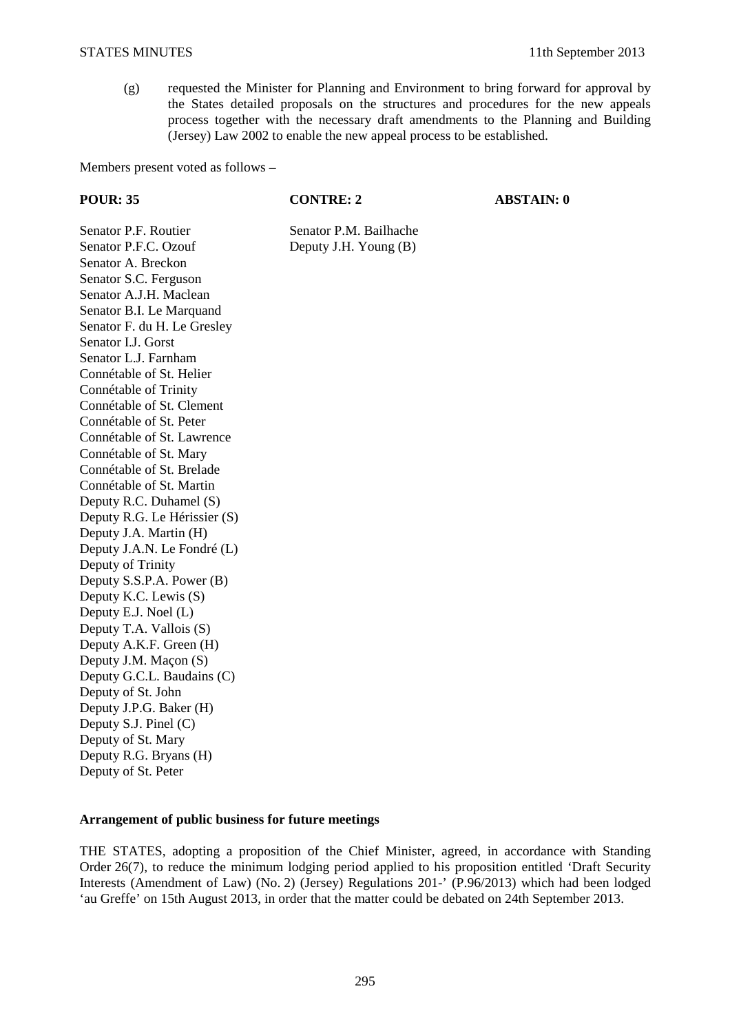(g) requested the Minister for Planning and Environment to bring forward for approval by the States detailed proposals on the structures and procedures for the new appeals process together with the necessary draft amendments to the Planning and Building (Jersey) Law 2002 to enable the new appeal process to be established.

Members present voted as follows –

**POUR: 35 CONTRE: 2 ABSTAIN: 0** 

Senator P.F. Routier Senator P.M. Bailhache Senator P.F.C. Ozouf Deputy J.H. Young (B) Senator A. Breckon Senator S.C. Ferguson Senator A.J.H. Maclean Senator B.I. Le Marquand Senator F. du H. Le Gresley Senator I.J. Gorst Senator L.J. Farnham Connétable of St. Helier Connétable of Trinity Connétable of St. Clement Connétable of St. Peter Connétable of St. Lawrence Connétable of St. Mary Connétable of St. Brelade Connétable of St. Martin Deputy R.C. Duhamel (S) Deputy R.G. Le Hérissier (S) Deputy J.A. Martin (H) Deputy J.A.N. Le Fondré (L) Deputy of Trinity Deputy S.S.P.A. Power (B) Deputy K.C. Lewis (S) Deputy E.J. Noel (L) Deputy T.A. Vallois (S) Deputy A.K.F. Green (H) Deputy J.M. Maçon (S) Deputy G.C.L. Baudains (C) Deputy of St. John Deputy J.P.G. Baker (H) Deputy S.J. Pinel (C) Deputy of St. Mary Deputy R.G. Bryans (H) Deputy of St. Peter

### **Arrangement of public business for future meetings**

THE STATES, adopting a proposition of the Chief Minister, agreed, in accordance with Standing Order 26(7), to reduce the minimum lodging period applied to his proposition entitled 'Draft Security Interests (Amendment of Law) (No. 2) (Jersey) Regulations 201-' (P.96/2013) which had been lodged 'au Greffe' on 15th August 2013, in order that the matter could be debated on 24th September 2013.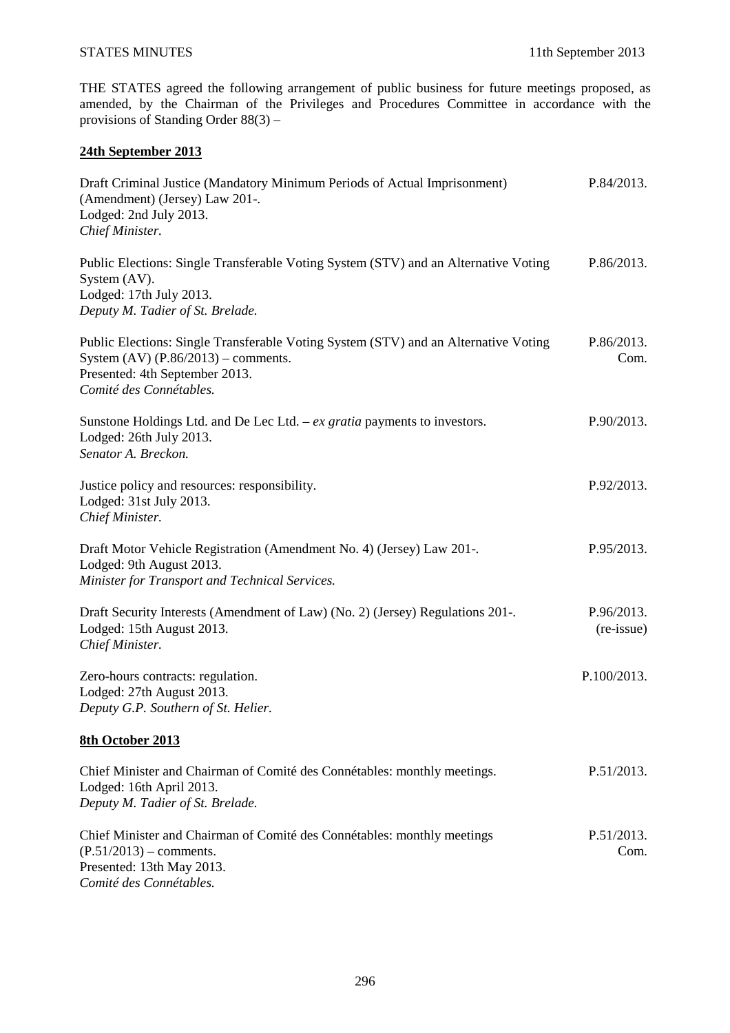THE STATES agreed the following arrangement of public business for future meetings proposed, as amended, by the Chairman of the Privileges and Procedures Committee in accordance with the provisions of Standing Order 88(3) –

# **24th September 2013**

| Draft Criminal Justice (Mandatory Minimum Periods of Actual Imprisonment)<br>(Amendment) (Jersey) Law 201-.<br>Lodged: 2nd July 2013.<br>Chief Minister.                                    | P.84/2013.                        |
|---------------------------------------------------------------------------------------------------------------------------------------------------------------------------------------------|-----------------------------------|
| Public Elections: Single Transferable Voting System (STV) and an Alternative Voting<br>System (AV).<br>Lodged: 17th July 2013.<br>Deputy M. Tadier of St. Brelade.                          | P.86/2013.                        |
| Public Elections: Single Transferable Voting System (STV) and an Alternative Voting<br>System $(AV)$ $(P.86/2013)$ – comments.<br>Presented: 4th September 2013.<br>Comité des Connétables. | P.86/2013.<br>Com.                |
| Sunstone Holdings Ltd. and De Lec Ltd. $-ex$ gratia payments to investors.<br>Lodged: 26th July 2013.<br>Senator A. Breckon.                                                                | P.90/2013.                        |
| Justice policy and resources: responsibility.<br>Lodged: 31st July 2013.<br>Chief Minister.                                                                                                 | P.92/2013.                        |
| Draft Motor Vehicle Registration (Amendment No. 4) (Jersey) Law 201-.<br>Lodged: 9th August 2013.<br>Minister for Transport and Technical Services.                                         | P.95/2013.                        |
| Draft Security Interests (Amendment of Law) (No. 2) (Jersey) Regulations 201-.<br>Lodged: 15th August 2013.<br>Chief Minister.                                                              | P.96/2013.<br>$(re\text{-}issue)$ |
| Zero-hours contracts: regulation.<br>Lodged: 27th August 2013.<br>Deputy G.P. Southern of St. Helier.                                                                                       | P.100/2013.                       |
| 8th October 2013                                                                                                                                                                            |                                   |
| Chief Minister and Chairman of Comité des Connétables: monthly meetings.<br>Lodged: 16th April 2013.<br>Deputy M. Tadier of St. Brelade.                                                    | P.51/2013.                        |
| Chief Minister and Chairman of Comité des Connétables: monthly meetings<br>$(P.51/2013)$ – comments.<br>Presented: 13th May 2013.<br>Comité des Connétables.                                | P.51/2013.<br>Com.                |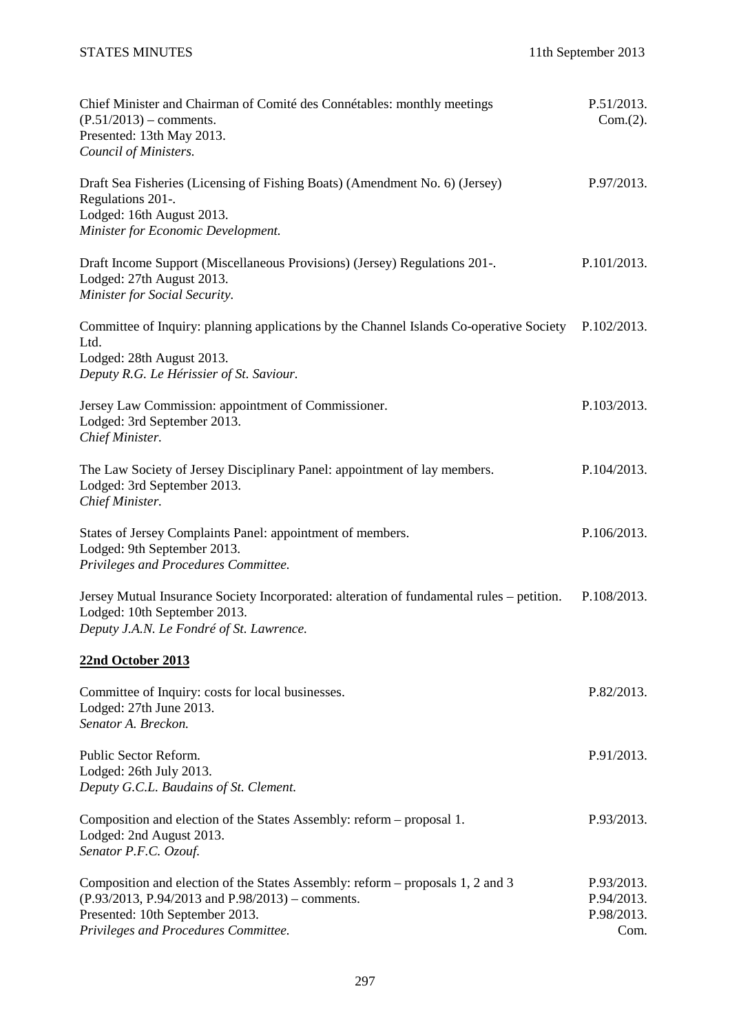# STATES MINUTES 11th September 2013

| Chief Minister and Chairman of Comité des Connétables: monthly meetings<br>$(P.51/2013)$ – comments.<br>Presented: 13th May 2013.<br>Council of Ministers.                                                         | P.51/2013.<br>Com.(2).                         |
|--------------------------------------------------------------------------------------------------------------------------------------------------------------------------------------------------------------------|------------------------------------------------|
| Draft Sea Fisheries (Licensing of Fishing Boats) (Amendment No. 6) (Jersey)<br>Regulations 201-.<br>Lodged: 16th August 2013.<br>Minister for Economic Development.                                                | P.97/2013.                                     |
| Draft Income Support (Miscellaneous Provisions) (Jersey) Regulations 201-.<br>Lodged: 27th August 2013.<br>Minister for Social Security.                                                                           | P.101/2013.                                    |
| Committee of Inquiry: planning applications by the Channel Islands Co-operative Society<br>Ltd.<br>Lodged: 28th August 2013.<br>Deputy R.G. Le Hérissier of St. Saviour.                                           | P.102/2013.                                    |
| Jersey Law Commission: appointment of Commissioner.<br>Lodged: 3rd September 2013.<br>Chief Minister.                                                                                                              | P.103/2013.                                    |
| The Law Society of Jersey Disciplinary Panel: appointment of lay members.<br>Lodged: 3rd September 2013.<br>Chief Minister.                                                                                        | P.104/2013.                                    |
| States of Jersey Complaints Panel: appointment of members.<br>Lodged: 9th September 2013.<br>Privileges and Procedures Committee.                                                                                  | P.106/2013.                                    |
| Jersey Mutual Insurance Society Incorporated: alteration of fundamental rules – petition.<br>Lodged: 10th September 2013.<br>Deputy J.A.N. Le Fondré of St. Lawrence.                                              | P.108/2013.                                    |
| 22nd October 2013                                                                                                                                                                                                  |                                                |
| Committee of Inquiry: costs for local businesses.<br>Lodged: 27th June 2013.<br>Senator A. Breckon.                                                                                                                | P.82/2013.                                     |
| Public Sector Reform.<br>Lodged: 26th July 2013.<br>Deputy G.C.L. Baudains of St. Clement.                                                                                                                         | P.91/2013.                                     |
| Composition and election of the States Assembly: reform – proposal 1.<br>Lodged: 2nd August 2013.<br>Senator P.F.C. Ozouf.                                                                                         | P.93/2013.                                     |
| Composition and election of the States Assembly: reform – proposals 1, 2 and 3<br>$(P.93/2013, P.94/2013$ and $P.98/2013$ ) – comments.<br>Presented: 10th September 2013.<br>Privileges and Procedures Committee. | P.93/2013.<br>P.94/2013.<br>P.98/2013.<br>Com. |